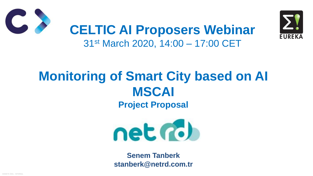HİZMETE ÖZEL - INTERNAL



### **Monitoring of Smart City based on AI MSCAI Project Proposal**





### **CELTIC AI Proposers Webinar** 31st March 2020, 14:00 – 17:00 CET

**Senem Tanberk stanberk@netrd.com.tr**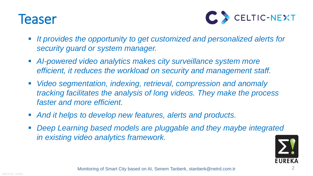



### **Teaser**

- **If provides the opportunity to get customized and personalized alerts for** *security guard or system manager.*
- **AI-powered video analytics makes city surveillance system more** *efficient, it reduces the workload on security and management staff.*
- *Video segmentation, indexing, retrieval, compression and anomaly tracking facilitates the analysis of long videos. They make the process faster and more efficient.*
- *And it helps to develop new features, alerts and products.*
- **Deep Learning based models are pluggable and they maybe integrated** *in existing video analytics framework.*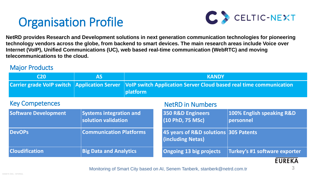

**Carry 2019 <b>ENPPLICA Colo** Server Cloud based real time communication

#### **NetRD in Numbers**

### Organisation Profile

3

**NetRD provides Research and Development solutions in next generation communication technologies for pioneering technology vendors across the globe, from backend to smart devices. The main research areas include Voice over Internet (VoIP), Unified Communications (UC), web based real-time communication (WebRTC) and moving telecommunications to the cloud.**

Monitoring of Smart City based on AI, Senem Tanberk, stanberk@netrd.com.tr

| 350 R&D Engineers<br>(10 PhD, 75 MSc)                             | 100% English speaking R&D<br>personnel |
|-------------------------------------------------------------------|----------------------------------------|
| 45 years of R&D solutions 305 Patents<br><b>(including Netas)</b> |                                        |
| <b>Ongoing 13 big projects</b>                                    | Turkey's #1 software exporter          |

| <b>C20</b>                       | <b>AS</b>                                             |          | <b>KANDY</b>                                     |
|----------------------------------|-------------------------------------------------------|----------|--------------------------------------------------|
| <b>Carrier grade VoIP switch</b> | <b>Application Server</b>                             | platform | <b>VoIP switch Application Server Cloud bas</b>  |
| <b>Key Competences</b>           |                                                       |          | <b>NetRD in Numbers</b>                          |
| <b>Software Development</b>      | <b>Systems integration and</b><br>solution validation |          | <b>350 R&amp;D Engineers</b><br>(10 PhD, 75 MSc) |
| <b>DevOPs</b>                    | <b>Communication Platforms</b>                        |          | 45 years of R&D solutions<br>(including Netas)   |
| <b>Cloudification</b>            | <b>Big Data and Analytics</b>                         |          | <b>Ongoing 13 big projects</b>                   |







#### Major Products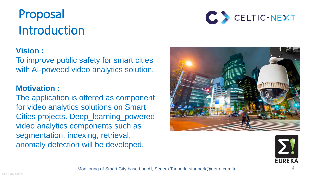

- 
- 
- 



To improve public safety for smart cities with AI-poweed video analytics solution.

# Proposal Introduction



### **Vision :**

### **Motivation :**

The application is offered as component for video analytics solutions on Smart Cities projects. Deep\_learning\_powered video analytics components such as segmentation, indexing, retrieval, anomaly detection will be developed.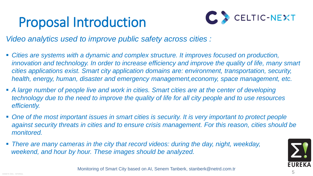

# Proposal Introduction



*Video analytics used to improve public safety across cities :*

*innovation and technology. In order to increase efficiency and improve the quality of life, many smart cities applications exist. Smart city application domains are: environment, transportation, security, health, energy, human, disaster and emergency management,economy, space management, etc.*

- *Cities are systems with a dynamic and complex structure. It improves focused on production,*
- *A large number of people live and work in cities. Smart cities are at the center of developing efficiently.*
- One of the most important issues in smart cities is security. It is very important to protect people *monitored.*
- *There are many cameras in the city that record videos: during the day, night, weekday, weekend, and hour by hour. These images should be analyzed.*

*technology due to the need to improve the quality of life for all city people and to use resources* 

*against security threats in cities and to ensure crisis management. For this reason, cities should be* 

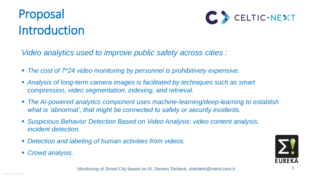

## Proposal Introduction



*Video analytics used to improve public safety across cities :*

- *The cost of 7\*24 video monitoring by personnel is prohibitively expensive.*
- *Analysis of long-term camera images is facilitated by techniques such as smart compression, video segmentation, indexing, and retrieval.*
- The AI-powered analytics component uses machine-learning/deep-learning to establish *what is 'abnormal', that might be connected to safety or security incidents.*
- Suspicious Behavior Detection Based on Video Analysis: video content analysis, *incident detection.*
- *Detection and labeling of human activities from videos.*
- *Crowd analysis.*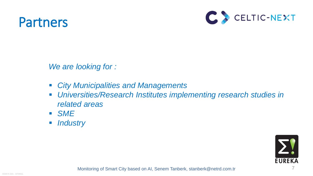

### Partners



*We are looking for :*

- *City Municipalities and Managements*
- *related areas*
- *SME*
- *Industry*

# *Universities/Research Institutes implementing research studies in*